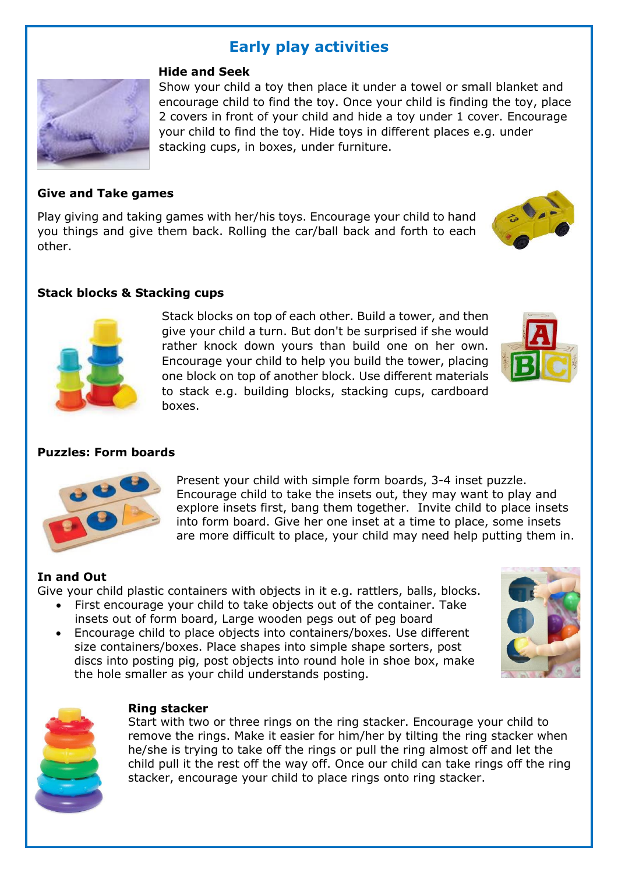# **Early play activities**



#### **Hide and Seek**

Show your child a toy then place it under a towel or small blanket and encourage child to find the toy. Once your child is finding the toy, place 2 covers in front of your child and hide a toy under 1 cover. Encourage your child to find the toy. Hide toys in different places e.g. under stacking cups, in boxes, under furniture.

## **Give and Take games**

Play giving and taking games with her/his toys. Encourage your child to hand you things and give them back. Rolling the car/ball back and forth to each other.



## **Stack blocks & Stacking cups**



Stack blocks on top of each other. Build a tower, and then give your child a turn. But don't be surprised if she would rather knock down yours than build one on her own. Encourage your child to help you build the tower, placing one block on top of another block. Use different materials to stack e.g. building blocks, stacking cups, cardboard boxes.



#### **Puzzles: Form boards**



Present your child with simple form boards, 3-4 inset puzzle. Encourage child to take the insets out, they may want to play and explore insets first, bang them together. Invite child to place insets into form board. Give her one inset at a time to place, some insets are more difficult to place, your child may need help putting them in.

#### **In and Out**

Give your child plastic containers with objects in it e.g. rattlers, balls, blocks.

- First encourage your child to take objects out of the container. Take insets out of form board, Large wooden pegs out of peg board
- Encourage child to place objects into containers/boxes. Use different size containers/boxes. Place shapes into simple shape sorters, post discs into posting pig, post objects into round hole in shoe box, make the hole smaller as your child understands posting.





#### **Ring stacker**

Start with two or three rings on the ring stacker. Encourage your child to remove the rings. Make it easier for him/her by tilting the ring stacker when he/she is trying to take off the rings or pull the ring almost off and let the child pull it the rest off the way off. Once our child can take rings off the ring stacker, encourage your child to place rings onto ring stacker.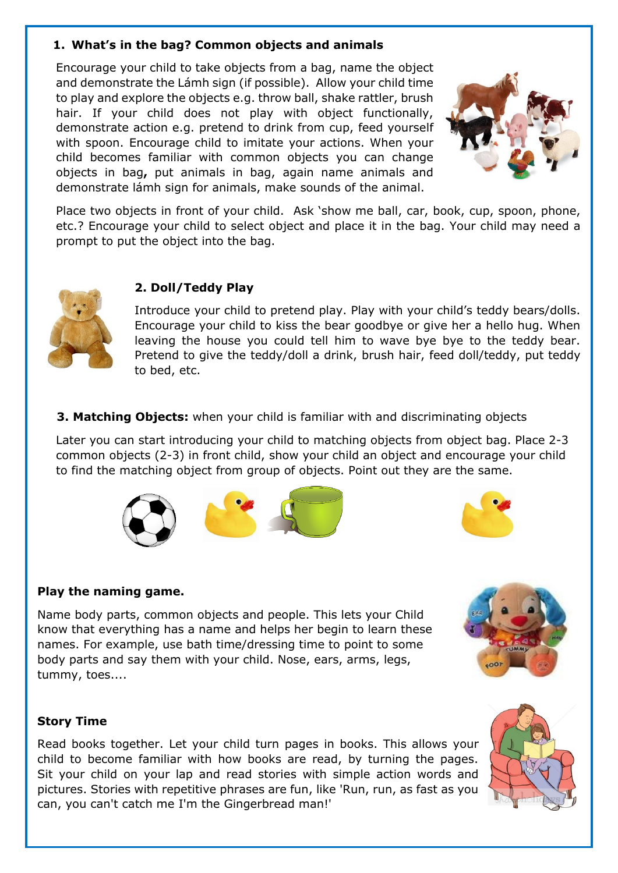# **1. What's in the bag? Common objects and animals**

Encourage your child to take objects from a bag, name the object and demonstrate the Lámh sign (if possible). Allow your child time to play and explore the objects e.g. throw ball, shake rattler, brush hair. If your child does not play with object functionally, demonstrate action e.g. pretend to drink from cup, feed yourself with spoon. Encourage child to imitate your actions. When your child becomes familiar with common objects you can change objects in bag**,** put animals in bag, again name animals and demonstrate lámh sign for animals, make sounds of the animal.



Place two objects in front of your child. Ask 'show me ball, car, book, cup, spoon, phone, etc.? Encourage your child to select object and place it in the bag. Your child may need a prompt to put the object into the bag.



# **2. Doll/Teddy Play**

Introduce your child to pretend play. Play with your child's teddy bears/dolls. Encourage your child to kiss the bear goodbye or give her a hello hug. When leaving the house you could tell him to wave bye bye to the teddy bear. Pretend to give the teddy/doll a drink, brush hair, feed doll/teddy, put teddy to bed, etc.

 **3. Matching Objects:** when your child is familiar with and discriminating objects

Later you can start introducing your child to matching objects from object bag. Place 2-3 common objects (2-3) in front child, show your child an object and encourage your child to find the matching object from group of objects. Point out they are the same.





# **Play the naming game.**

Name body parts, common objects and people. This lets your Child know that everything has a name and helps her begin to learn these names. For example, use bath time/dressing time to point to some body parts and say them with your child. Nose, ears, arms, legs, tummy, toes....

# **Story Time**

Read books together. Let your child turn pages in books. This allows your child to become familiar with how books are read, by turning the pages. Sit your child on your lap and read stories with simple action words and pictures. Stories with repetitive phrases are fun, like 'Run, run, as fast as you can, you can't catch me I'm the Gingerbread man!'

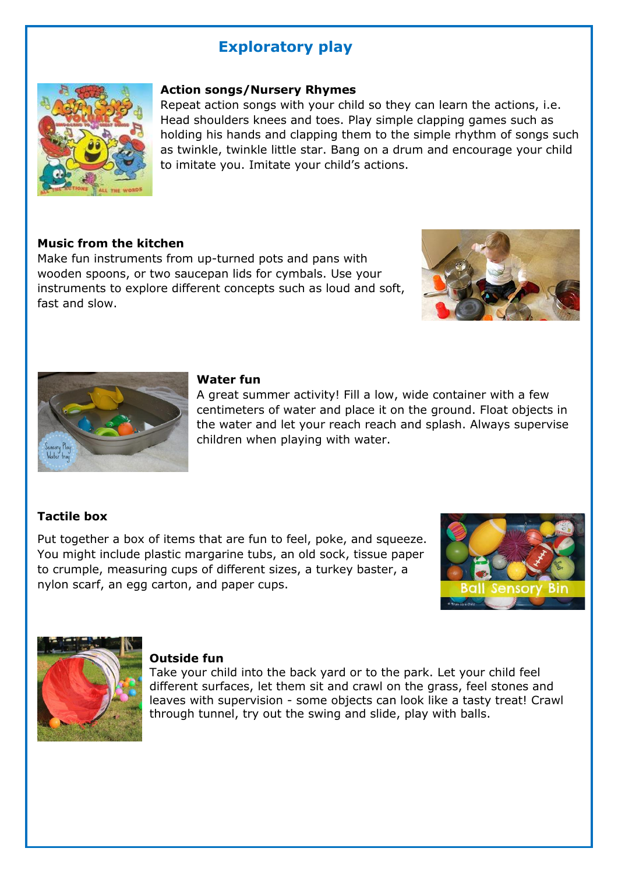# **Exploratory play**



## **Action songs/Nursery Rhymes**

Repeat action songs with your child so they can learn the actions, i.e. Head shoulders knees and toes. Play simple clapping games such as holding his hands and clapping them to the simple rhythm of songs such as twinkle, twinkle little star. Bang on a drum and encourage your child to imitate you. Imitate your child's actions.

# **Music from the kitchen**

Make fun instruments from up-turned pots and pans with wooden spoons, or two saucepan lids for cymbals. Use your instruments to explore different concepts such as loud and soft, fast and slow.





#### **Water fun**

A great summer activity! Fill a low, wide container with a few centimeters of water and place it on the ground. Float objects in the water and let your reach reach and splash. Always supervise children when playing with water.

# **Tactile box**

Put together a box of items that are fun to feel, poke, and squeeze. You might include plastic margarine tubs, an old sock, tissue paper to crumple, measuring cups of different sizes, a turkey baster, a nylon scarf, an egg carton, and paper cups.





#### **Outside fun**

Take your child into the back yard or to the park. Let your child feel different surfaces, let them sit and crawl on the grass, feel stones and leaves with supervision - some objects can look like a tasty treat! Crawl through tunnel, try out the swing and slide, play with balls.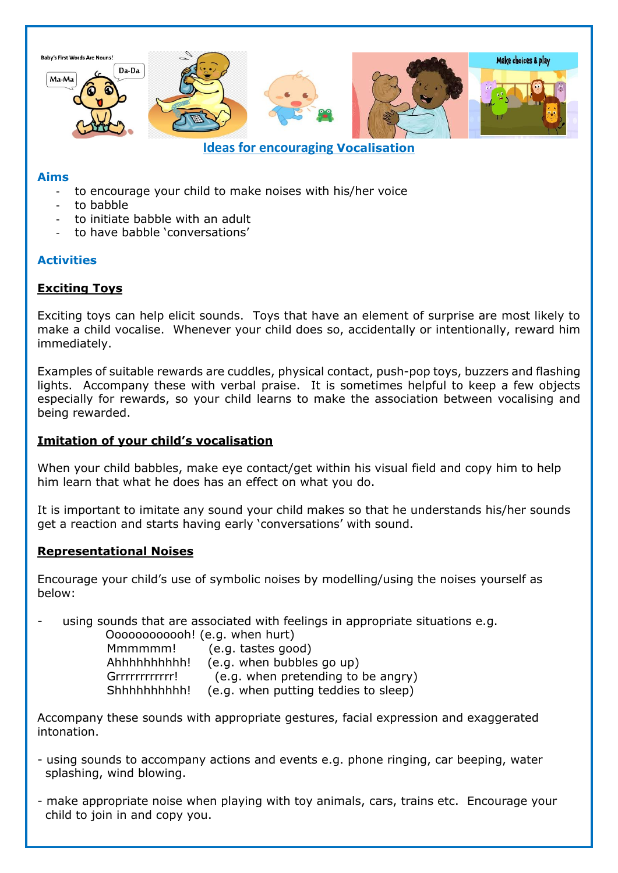

## **Aims**

- to encourage your child to make noises with his/her voice
- to babble
- to initiate babble with an adult
- to have babble 'conversations'

# **Activities**

# **Exciting Toys**

Exciting toys can help elicit sounds. Toys that have an element of surprise are most likely to make a child vocalise. Whenever your child does so, accidentally or intentionally, reward him immediately.

Examples of suitable rewards are cuddles, physical contact, push-pop toys, buzzers and flashing lights. Accompany these with verbal praise. It is sometimes helpful to keep a few objects especially for rewards, so your child learns to make the association between vocalising and being rewarded.

# **Imitation of your child's vocalisation**

When your child babbles, make eye contact/get within his visual field and copy him to help him learn that what he does has an effect on what you do.

It is important to imitate any sound your child makes so that he understands his/her sounds get a reaction and starts having early 'conversations' with sound.

# **Representational Noises**

Encourage your child's use of symbolic noises by modelling/using the noises yourself as below:

using sounds that are associated with feelings in appropriate situations e.g.

 Oooooooooooh! (e.g. when hurt) Mmmmmm! (e.g. tastes good) Ahhhhhhhhhh! (e.g. when bubbles go up) Grrrrrrrrrrrr! (e.g. when pretending to be angry) Shhhhhhhhhh! (e.g. when putting teddies to sleep)

Accompany these sounds with appropriate gestures, facial expression and exaggerated intonation.

- using sounds to accompany actions and events e.g. phone ringing, car beeping, water splashing, wind blowing.
- make appropriate noise when playing with toy animals, cars, trains etc. Encourage your child to join in and copy you.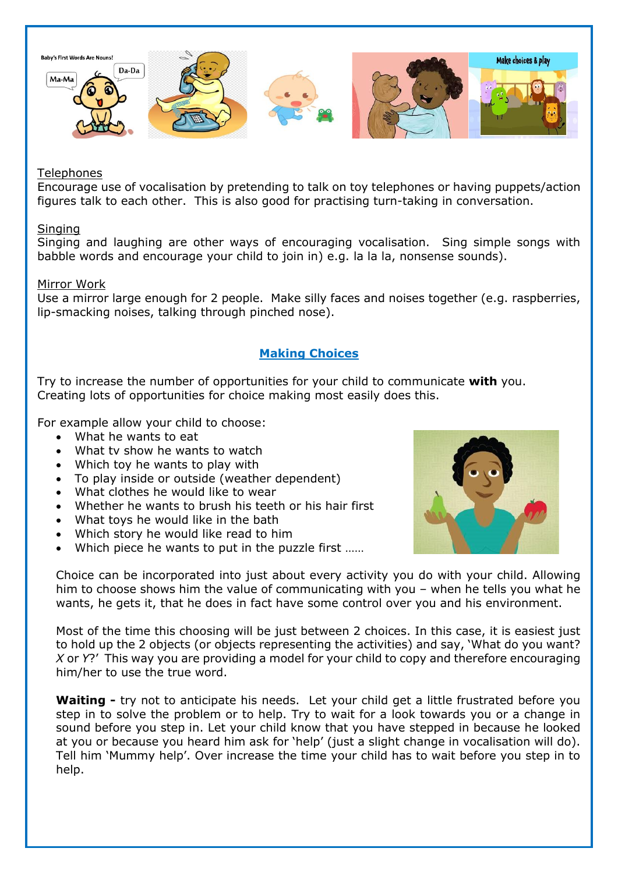

## **Telephones**

Encourage use of vocalisation by pretending to talk on toy telephones or having puppets/action figures talk to each other. This is also good for practising turn-taking in conversation.

## Singing

Singing and laughing are other ways of encouraging vocalisation. Sing simple songs with babble words and encourage your child to join in) e.g. la la la, nonsense sounds).

## Mirror Work

Use a mirror large enough for 2 people. Make silly faces and noises together (e.g. raspberries, lip-smacking noises, talking through pinched nose).

# **Making Choices**

Try to increase the number of opportunities for your child to communicate **with** you. Creating lots of opportunities for choice making most easily does this.

For example allow your child to choose:

- What he wants to eat
- What ty show he wants to watch
- Which toy he wants to play with
- To play inside or outside (weather dependent)
- What clothes he would like to wear
- Whether he wants to brush his teeth or his hair first
- What toys he would like in the bath
- Which story he would like read to him
- Which piece he wants to put in the puzzle first ......



Choice can be incorporated into just about every activity you do with your child. Allowing him to choose shows him the value of communicating with you – when he tells you what he wants, he gets it, that he does in fact have some control over you and his environment.

Most of the time this choosing will be just between 2 choices. In this case, it is easiest just to hold up the 2 objects (or objects representing the activities) and say, 'What do you want? *X* or *Y*?' This way you are providing a model for your child to copy and therefore encouraging him/her to use the true word.

**Waiting -** try not to anticipate his needs. Let your child get a little frustrated before you step in to solve the problem or to help. Try to wait for a look towards you or a change in sound before you step in. Let your child know that you have stepped in because he looked at you or because you heard him ask for 'help' (just a slight change in vocalisation will do). Tell him 'Mummy help'. Over increase the time your child has to wait before you step in to help.